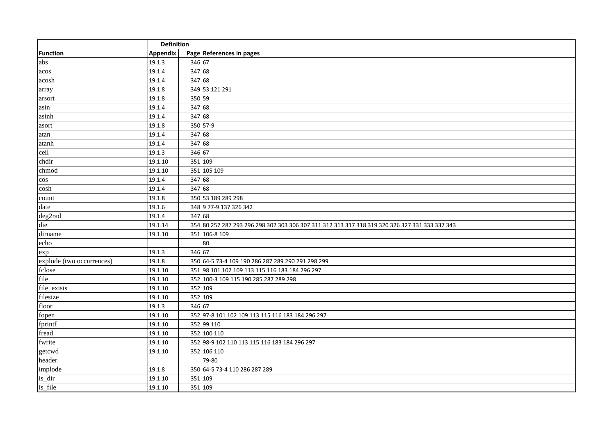|                           | <b>Definition</b> |         |                                                                                                |
|---------------------------|-------------------|---------|------------------------------------------------------------------------------------------------|
| Function                  | Appendix          |         | Page References in pages                                                                       |
| abs                       | 19.1.3            | 346 67  |                                                                                                |
| acos                      | 19.1.4            | 347 68  |                                                                                                |
| acosh                     | 19.1.4            | 347 68  |                                                                                                |
| array                     | 19.1.8            |         | 349 53 121 291                                                                                 |
| arsort                    | 19.1.8            | 350 59  |                                                                                                |
| asin                      | 19.1.4            | 347 68  |                                                                                                |
| asinh                     | 19.1.4            | 347 68  |                                                                                                |
| asort                     | 19.1.8            |         | 350 57-9                                                                                       |
| atan                      | 19.1.4            | 347 68  |                                                                                                |
| atanh                     | 19.1.4            | 347 68  |                                                                                                |
| ceil                      | 19.1.3            | 346 67  |                                                                                                |
| chdir                     | 19.1.10           | 351 109 |                                                                                                |
| chmod                     | 19.1.10           |         | 351 105 109                                                                                    |
| $\cos$                    | 19.1.4            | 347 68  |                                                                                                |
| cosh                      | 19.1.4            | 347 68  |                                                                                                |
| count                     | 19.1.8            |         | 350 53 189 289 298                                                                             |
| date                      | 19.1.6            |         | 348 9 77-9 137 326 342                                                                         |
| deg2rad                   | 19.1.4            | 347 68  |                                                                                                |
| die                       | 19.1.14           |         | 354 80 257 287 293 296 298 302 303 306 307 311 312 313 317 318 319 320 326 327 331 333 337 343 |
| dirname                   | 19.1.10           |         | 351 106-8 109                                                                                  |
| echo                      |                   |         | 80                                                                                             |
| exp                       | 19.1.3            | 346 67  |                                                                                                |
| explode (two occurrences) | 19.1.8            |         | 350 64-5 73-4 109 190 286 287 289 290 291 298 299                                              |
| fclose                    | 19.1.10           |         | 351 98 101 102 109 113 115 116 183 184 296 297                                                 |
| file                      | 19.1.10           |         | 352 100-3 109 115 190 285 287 289 298                                                          |
| file_exists               | 19.1.10           | 352 109 |                                                                                                |
| filesize                  | 19.1.10           | 352 109 |                                                                                                |
| floor                     | 19.1.3            | 346 67  |                                                                                                |
| fopen                     | 19.1.10           |         | 352 97-8 101 102 109 113 115 116 183 184 296 297                                               |
| fprintf                   | 19.1.10           |         | 352 99 110                                                                                     |
| fread                     | 19.1.10           |         | 352 100 110                                                                                    |
| fwrite                    | 19.1.10           |         | 352 98-9 102 110 113 115 116 183 184 296 297                                                   |
| getcwd                    | 19.1.10           |         | 352 106 110                                                                                    |
| header                    |                   |         | 79-80                                                                                          |
| implode                   | 19.1.8            |         | 350 64-5 73-4 110 286 287 289                                                                  |
| is_dir                    | 19.1.10           | 351 109 |                                                                                                |
| is_file                   | 19.1.10           | 351 109 |                                                                                                |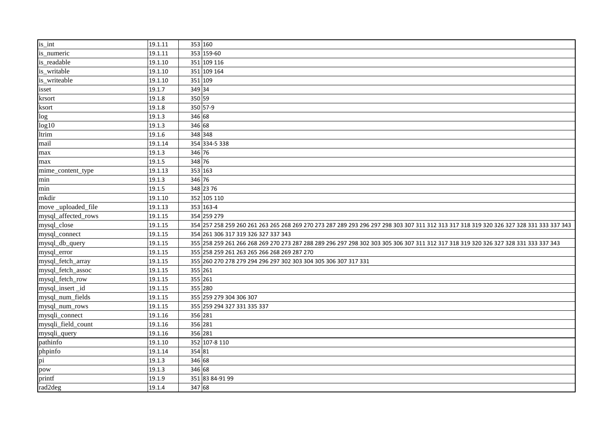| is int              | 19.1.11 |         | 353 160                                                                                                                                 |
|---------------------|---------|---------|-----------------------------------------------------------------------------------------------------------------------------------------|
| is_numeric          | 19.1.11 |         | 353 159-60                                                                                                                              |
| is_readable         | 19.1.10 |         | 351 109 116                                                                                                                             |
| is_writable         | 19.1.10 |         | 351 109 164                                                                                                                             |
| is_writeable        | 19.1.10 | 351 109 |                                                                                                                                         |
| isset               | 19.1.7  | 349 34  |                                                                                                                                         |
| krsort              | 19.1.8  | 350 59  |                                                                                                                                         |
| ksort               | 19.1.8  |         | 350 57-9                                                                                                                                |
| log                 | 19.1.3  | 346 68  |                                                                                                                                         |
| log10               | 19.1.3  | 346 68  |                                                                                                                                         |
| ltrim               | 19.1.6  | 348 348 |                                                                                                                                         |
| mail                | 19.1.14 |         | 354 334-5 338                                                                                                                           |
| max                 | 19.1.3  | 346 76  |                                                                                                                                         |
| max                 | 19.1.5  | 348 76  |                                                                                                                                         |
| mime_content_type   | 19.1.13 | 353 163 |                                                                                                                                         |
| min                 | 19.1.3  | 346 76  |                                                                                                                                         |
| min                 | 19.1.5  |         | 348 23 76                                                                                                                               |
| mkdir               | 19.1.10 |         | 352 105 110                                                                                                                             |
| move_uploaded_file  | 19.1.13 |         | 353 163-4                                                                                                                               |
| mysql_affected_rows | 19.1.15 |         | 354 259 279                                                                                                                             |
| mysql_close         | 19.1.15 |         | 354 257 258 259 260 261 263 265 268 269 270 273 287 289 293 296 297 298 303 307 311 312 313 317 318 319 320 326 327 328 331 333 337 343 |
| mysql_connect       | 19.1.15 |         | 354 261 306 317 319 326 327 337 343                                                                                                     |
| mysql_db_query      | 19.1.15 |         | 355 259 261 266 268 269 270 273 287 288 289 296 297 298 302 303 305 306 307 311 312 317 318 319 320 326 327 328 331 333 337 343         |
| mysql_error         | 19.1.15 |         | 355 258 259 261 263 265 266 268 269 287 270                                                                                             |
| mysql_fetch_array   | 19.1.15 |         | 355 260 270 278 279 294 296 297 302 303 304 305 306 307 317 331                                                                         |
| mysql_fetch_assoc   | 19.1.15 | 355 261 |                                                                                                                                         |
| mysql_fetch_row     | 19.1.15 | 355 261 |                                                                                                                                         |
| mysql_insert_id     | 19.1.15 |         | 355 280                                                                                                                                 |
| mysql_num_fields    | 19.1.15 |         | 355 259 279 304 306 307                                                                                                                 |
| mysql_num_rows      | 19.1.15 |         | 355 259 294 327 331 335 337                                                                                                             |
| mysqli_connect      | 19.1.16 | 356 281 |                                                                                                                                         |
| mysqli_field_count  | 19.1.16 | 356 281 |                                                                                                                                         |
| mysqli_query        | 19.1.16 | 356 281 |                                                                                                                                         |
| pathinfo            | 19.1.10 |         | 352 107-8 110                                                                                                                           |
| phpinfo             | 19.1.14 | 354 81  |                                                                                                                                         |
| pi                  | 19.1.3  | 346 68  |                                                                                                                                         |
| pow                 | 19.1.3  | 346 68  |                                                                                                                                         |
| printf              | 19.1.9  |         | 351 83 84-91 99                                                                                                                         |
| rad2deg             | 19.1.4  | 347 68  |                                                                                                                                         |
|                     |         |         |                                                                                                                                         |